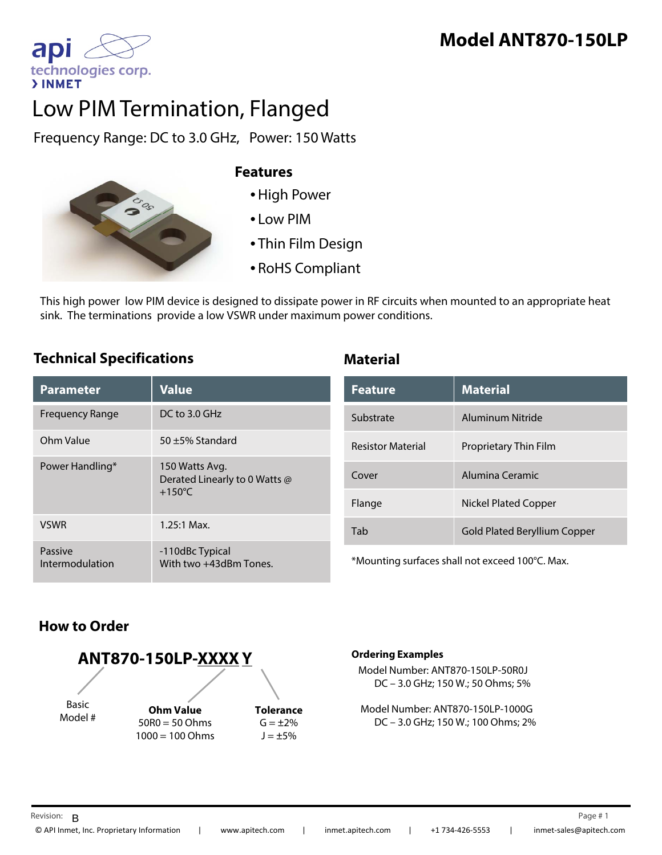# **Model ANT870-150LP**

apl technologies corp. **>INMET** 

# Low PIM Termination, Flanged

Frequency Range: DC to 3.0 GHz, Power: 150 Watts



#### **Features**

- •High Power
- Low PIM
- Thin Film Design
- RoHS Compliant

This high power low PIM device is designed to dissipate power in RF circuits when mounted to an appropriate heat sink. The terminations provide a low VSWR under maximum power conditions.

#### **Technical Specifications Material**

| <b>Parameter</b>           | <b>Value</b>                                                        |
|----------------------------|---------------------------------------------------------------------|
| Frequency Range            | DC to 3.0 GHz                                                       |
| Ohm Value                  | $50 + 5%$ Standard                                                  |
| Power Handling*            | 150 Watts Avg.<br>Derated Linearly to 0 Watts @<br>$+150^{\circ}$ C |
| <b>VSWR</b>                | $1.25:1$ Max.                                                       |
| Passive<br>Intermodulation | -110dBc Typical<br>With two +43dBm Tones.                           |

| <b>Feature</b>           | <b>Material</b>              |
|--------------------------|------------------------------|
| Substrate                | Aluminum Nitride             |
| <b>Resistor Material</b> | Proprietary Thin Film        |
| Cover                    | Alumina Ceramic              |
| Flange                   | Nickel Plated Copper         |
| Tab                      | Gold Plated Beryllium Copper |

\*Mounting surfaces shall not exceed 100°C. Max.

### **How to Order**



#### **Ordering Examples**

Model Number: ANT870-150LP-50R0J DC – 3.0 GHz; 150 W.; 50 Ohms; 5%

Model Number: ANT870-150LP-1000G DC – 3.0 GHz; 150 W.; 100 Ohms; 2%